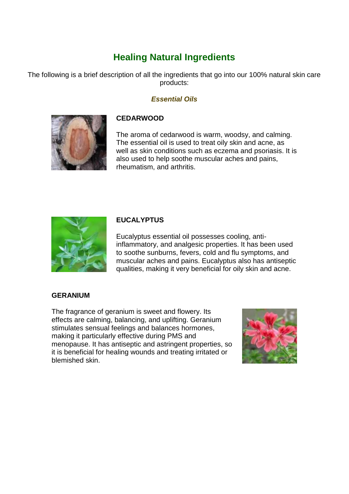# **Healing Natural Ingredients**

The following is a brief description of all the ingredients that go into our 100% natural skin care products:

# *Essential Oils*



# **CEDARWOOD**

The aroma of cedarwood is warm, woodsy, and calming. The essential oil is used to treat oily skin and acne, as well as skin conditions such as eczema and psoriasis. It is also used to help soothe muscular aches and pains, rheumatism, and arthritis.



# **EUCALYPTUS**

Eucalyptus essential oil possesses cooling, antiinflammatory, and analgesic properties. It has been used to soothe sunburns, fevers, cold and flu symptoms, and muscular aches and pains. Eucalyptus also has antiseptic qualities, making it very beneficial for oily skin and acne.

# **GERANIUM**

The fragrance of geranium is sweet and flowery. Its effects are calming, balancing, and uplifting. Geranium stimulates sensual feelings and balances hormones, making it particularly effective during PMS and menopause. It has antiseptic and astringent properties, so it is beneficial for healing wounds and treating irritated or blemished skin.

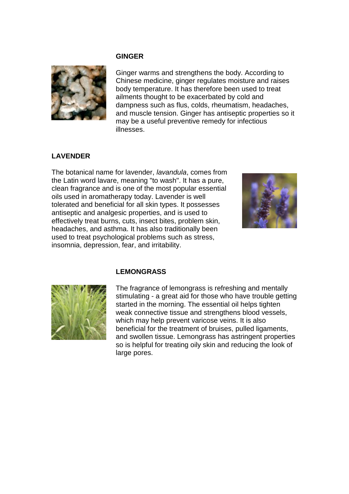#### **GINGER**



Ginger warms and strengthens the body. According to Chinese medicine, ginger regulates moisture and raises body temperature. It has therefore been used to treat ailments thought to be exacerbated by cold and dampness such as flus, colds, rheumatism, headaches, and muscle tension. Ginger has antiseptic properties so it may be a useful preventive remedy for infectious illnesses.

# **LAVENDER**

The botanical name for lavender, *lavandula*, comes from the Latin word lavare, meaning "to wash". It has a pure, clean fragrance and is one of the most popular essential oils used in aromatherapy today. Lavender is well tolerated and beneficial for all skin types. It possesses antiseptic and analgesic properties, and is used to effectively treat burns, cuts, insect bites, problem skin, headaches, and asthma. It has also traditionally been used to treat psychological problems such as stress, insomnia, depression, fear, and irritability.



#### **LEMONGRASS**



The fragrance of lemongrass is refreshing and mentally stimulating - a great aid for those who have trouble getting started in the morning. The essential oil helps tighten weak connective tissue and strengthens blood vessels, which may help prevent varicose veins. It is also beneficial for the treatment of bruises, pulled ligaments, and swollen tissue. Lemongrass has astringent properties so is helpful for treating oily skin and reducing the look of large pores.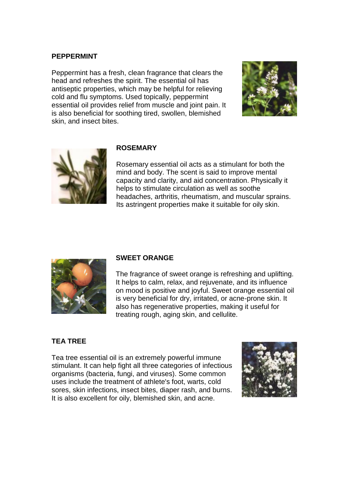#### **PEPPERMINT**

Peppermint has a fresh, clean fragrance that clears the head and refreshes the spirit. The essential oil has antiseptic properties, which may be helpful for relieving cold and flu symptoms. Used topically, peppermint essential oil provides relief from muscle and joint pain. It is also beneficial for soothing tired, swollen, blemished skin, and insect bites.





#### **ROSEMARY**

Rosemary essential oil acts as a stimulant for both the mind and body. The scent is said to improve mental capacity and clarity, and aid concentration. Physically it helps to stimulate circulation as well as soothe headaches, arthritis, rheumatism, and muscular sprains. Its astringent properties make it suitable for oily skin.



# **SWEET ORANGE**

The fragrance of sweet orange is refreshing and uplifting. It helps to calm, relax, and rejuvenate, and its influence on mood is positive and joyful. Sweet orange essential oil is very beneficial for dry, irritated, or acne-prone skin. It also has regenerative properties, making it useful for treating rough, aging skin, and cellulite.

# **TEA TREE**

Tea tree essential oil is an extremely powerful immune stimulant. It can help fight all three categories of infectious organisms (bacteria, fungi, and viruses). Some common uses include the treatment of athlete's foot, warts, cold sores, skin infections, insect bites, diaper rash, and burns. It is also excellent for oily, blemished skin, and acne.

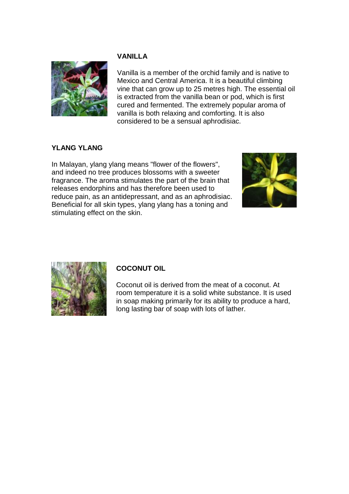# **VANILLA**



Vanilla is a member of the orchid family and is native to Mexico and Central America. It is a beautiful climbing vine that can grow up to 25 metres high. The essential oil is extracted from the vanilla bean or pod, which is first cured and fermented. The extremely popular aroma of vanilla is both relaxing and comforting. It is also considered to be a sensual aphrodisiac.

# **YLANG YLANG**

In Malayan, ylang ylang means "flower of the flowers", and indeed no tree produces blossoms with a sweeter fragrance. The aroma stimulates the part of the brain that releases endorphins and has therefore been used to reduce pain, as an antidepressant, and as an aphrodisiac. Beneficial for all skin types, ylang ylang has a toning and stimulating effect on the skin.





# **COCONUT OIL**

Coconut oil is derived from the meat of a coconut. At room temperature it is a solid white substance. It is used in soap making primarily for its ability to produce a hard, long lasting bar of soap with lots of lather.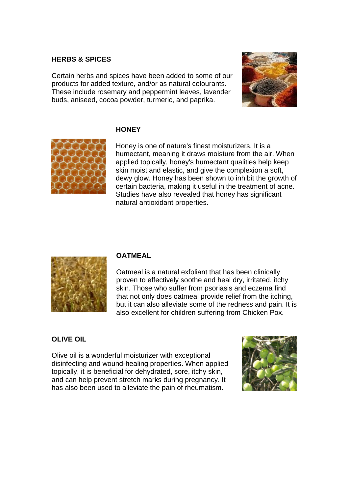#### **HERBS & SPICES**

Certain herbs and spices have been added to some of our products for added texture, and/or as natural colourants. These include rosemary and peppermint leaves, lavender buds, aniseed, cocoa powder, turmeric, and paprika.



#### **HONEY**

Honey is one of nature's finest moisturizers. It is a humectant, meaning it draws moisture from the air. When applied topically, honey's humectant qualities help keep skin moist and elastic, and give the complexion a soft, dewy glow. Honey has been shown to inhibit the growth of certain bacteria, making it useful in the treatment of acne. Studies have also revealed that honey has significant natural antioxidant properties.



# **OATMEAL**

Oatmeal is a natural exfoliant that has been clinically proven to effectively soothe and heal dry, irritated, itchy skin. Those who suffer from psoriasis and eczema find that not only does oatmeal provide relief from the itching, but it can also alleviate some of the redness and pain. It is also excellent for children suffering from Chicken Pox.

# **OLIVE OIL**

Olive oil is a wonderful moisturizer with exceptional disinfecting and wound-healing properties. When applied topically, it is beneficial for dehydrated, sore, itchy skin, and can help prevent stretch marks during pregnancy. It has also been used to alleviate the pain of rheumatism.

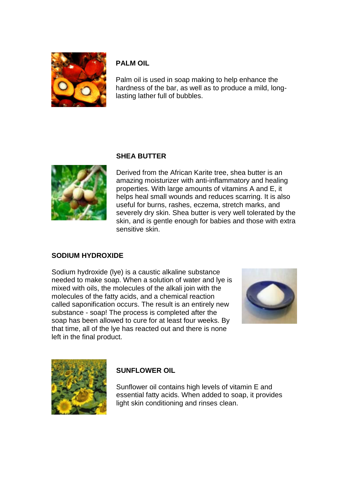

# **PALM OIL**

Palm oil is used in soap making to help enhance the hardness of the bar, as well as to produce a mild, longlasting lather full of bubbles.

# **SHEA BUTTER**



Derived from the African Karite tree, shea butter is an amazing moisturizer with anti-inflammatory and healing properties. With large amounts of vitamins A and E, it helps heal small wounds and reduces scarring. It is also useful for burns, rashes, eczema, stretch marks, and severely dry skin. Shea butter is very well tolerated by the skin, and is gentle enough for babies and those with extra sensitive skin.

# **SODIUM HYDROXIDE**

Sodium hydroxide (lye) is a caustic alkaline substance needed to make soap. When a solution of water and lye is mixed with oils, the molecules of the alkali join with the molecules of the fatty acids, and a chemical reaction called saponification occurs. The result is an entirely new substance - soap! The process is completed after the soap has been allowed to cure for at least four weeks. By that time, all of the lye has reacted out and there is none left in the final product.





# **SUNFLOWER OIL**

Sunflower oil contains high levels of vitamin E and essential fatty acids. When added to soap, it provides light skin conditioning and rinses clean.